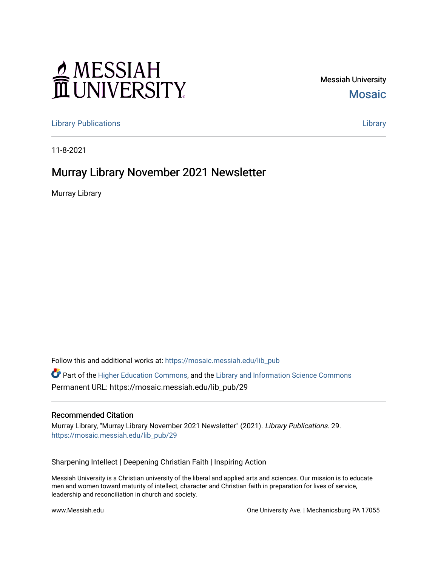# MESSIAH

Messiah University [Mosaic](https://mosaic.messiah.edu/) 

[Library Publications](https://mosaic.messiah.edu/lib_pub) [Library](https://mosaic.messiah.edu/library) 

11-8-2021

## Murray Library November 2021 Newsletter

Murray Library

Follow this and additional works at: [https://mosaic.messiah.edu/lib\\_pub](https://mosaic.messiah.edu/lib_pub?utm_source=mosaic.messiah.edu%2Flib_pub%2F29&utm_medium=PDF&utm_campaign=PDFCoverPages)

 $\bullet$  Part of the [Higher Education Commons,](http://network.bepress.com/hgg/discipline/1245?utm_source=mosaic.messiah.edu%2Flib_pub%2F29&utm_medium=PDF&utm_campaign=PDFCoverPages) and the Library and Information Science Commons Permanent URL: https://mosaic.messiah.edu/lib\_pub/29

#### Recommended Citation

Murray Library, "Murray Library November 2021 Newsletter" (2021). Library Publications. 29. [https://mosaic.messiah.edu/lib\\_pub/29](https://mosaic.messiah.edu/lib_pub/29?utm_source=mosaic.messiah.edu%2Flib_pub%2F29&utm_medium=PDF&utm_campaign=PDFCoverPages) 

Sharpening Intellect | Deepening Christian Faith | Inspiring Action

Messiah University is a Christian university of the liberal and applied arts and sciences. Our mission is to educate men and women toward maturity of intellect, character and Christian faith in preparation for lives of service, leadership and reconciliation in church and society.

www.Messiah.edu **One University Ave. | Mechanicsburg PA 17055**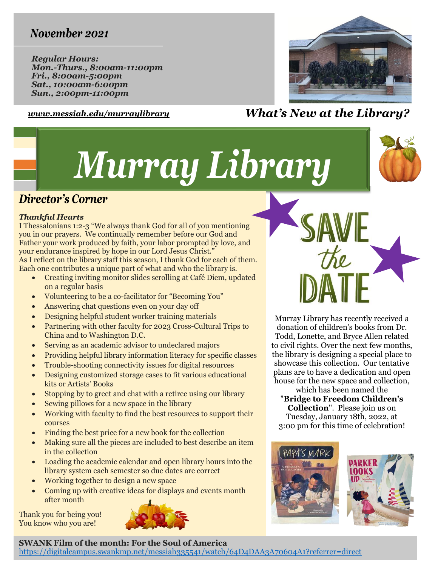## *November 2021*

*Regular Hours: Mon.-Thurs., 8:00am-11:00pm Fri., 8:00am-5:00pm Sat., 10:00am-6:00pm Sun., 2:00pm-11:00pm*



### *[www.messiah.edu/murraylibrary](http://www.messiah.edu/murraylibrary) What's New at the Library?*

# *Murray Library*



## *Director's Corner*

#### *Thankful Hearts*

I Thessalonians 1:2-3 "We always thank God for all of you mentioning you in our prayers. We continually remember before our God and Father your work produced by faith, your labor prompted by love, and your endurance inspired by hope in our Lord Jesus Christ." As I reflect on the library staff this season, I thank God for each of them. Each one contributes a unique part of what and who the library is.

- Creating inviting monitor slides scrolling at Café Diem, updated on a regular basis
- Volunteering to be a co-facilitator for "Becoming You"
- Answering chat questions even on your day off
- Designing helpful student worker training materials
- Partnering with other faculty for 2023 Cross-Cultural Trips to China and to Washington D.C.
- Serving as an academic advisor to undeclared majors
- Providing helpful library information literacy for specific classes
- Trouble-shooting connectivity issues for digital resources
- Designing customized storage cases to fit various educational kits or Artists' Books
- Stopping by to greet and chat with a retiree using our library
- Sewing pillows for a new space in the library
- Working with faculty to find the best resources to support their courses
- Finding the best price for a new book for the collection
- Making sure all the pieces are included to best describe an item in the collection
- Loading the academic calendar and open library hours into the library system each semester so due dates are correct
- Working together to design a new space
- Coming up with creative ideas for displays and events month after month

Thank you for being you! You know who you are!



**SWANK Film of the month: For the Soul of America**

<https://digitalcampus.swankmp.net/messiah335541/watch/64D4DAA3A70604A1?referrer=direct>

Murray Library has recently received a donation of children's books from Dr. Todd, Lonette, and Bryce Allen related to civil rights. Over the next few months, the library is designing a special place to showcase this collection. Our tentative plans are to have a dedication and open house for the new space and collection,

which has been named the "**Bridge to Freedom Children's Collection**". Please join us on Tuesday, January 18th, 2022, at 3:00 pm for this time of celebration!